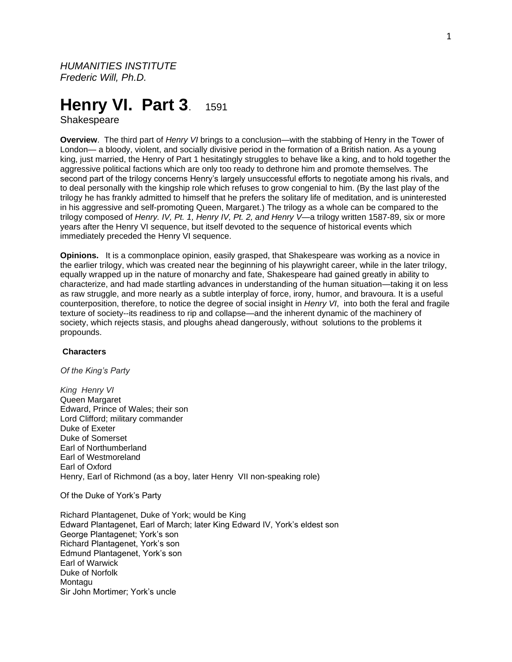*HUMANITIES INSTITUTE Frederic Will, Ph.D.*

# **Henry VI. Part 3. 1591**

Shakespeare

**Overview**. The third part of *Henry VI* brings to a conclusion—with the stabbing of Henry in the Tower of London— a bloody, violent, and socially divisive period in the formation of a British nation. As a young king, just married, the Henry of Part 1 hesitatingly struggles to behave like a king, and to hold together the aggressive political factions which are only too ready to dethrone him and promote themselves. The second part of the trilogy concerns Henry's largely unsuccessful efforts to negotiate among his rivals, and to deal personally with the kingship role which refuses to grow congenial to him. (By the last play of the trilogy he has frankly admitted to himself that he prefers the solitary life of meditation, and is uninterested in his aggressive and self-promoting Queen, Margaret.) The trilogy as a whole can be compared to the trilogy composed of *Henry. IV, Pt. 1, Henry IV, Pt. 2, and Henry V*—a trilogy written 1587-89, six or more years after the Henry VI sequence, but itself devoted to the sequence of historical events which immediately preceded the Henry VI sequence.

**Opinions.** It is a commonplace opinion, easily grasped, that Shakespeare was working as a novice in the earlier trilogy, which was created near the beginning of his playwright career, while in the later trilogy, equally wrapped up in the nature of monarchy and fate, Shakespeare had gained greatly in ability to characterize, and had made startling advances in understanding of the human situation—taking it on less as raw struggle, and more nearly as a subtle interplay of force, irony, humor, and bravoura. It is a useful counterposition, therefore, to notice the degree of social insight in *Henry VI*, into both the feral and fragile texture of society--its readiness to rip and collapse—and the inherent dynamic of the machinery of society, which rejects stasis, and ploughs ahead dangerously, without solutions to the problems it propounds.

# **Characters**

*Of the King's Party*

*King Henry VI* Queen Margaret Edward, Prince of Wales; their son Lord Clifford; military commander Duke of Exeter Duke of Somerset Earl of Northumberland Earl of Westmoreland Earl of Oxford Henry, Earl of Richmond (as a boy, later Henry VII non-speaking role)

Of the Duke of York's Party

Richard Plantagenet, Duke of York; would be King Edward Plantagenet, Earl of March; later King Edward IV, York's eldest son George Plantagenet; York's son Richard Plantagenet, York's son Edmund Plantagenet, York's son Earl of Warwick Duke of Norfolk **Montagu** Sir John Mortimer; York's uncle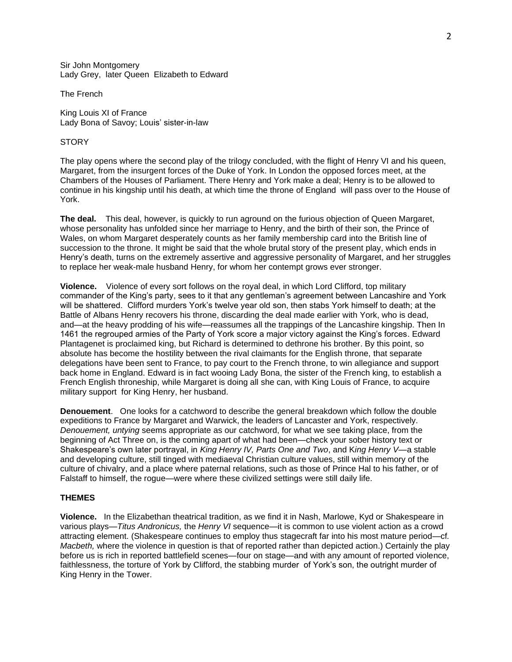Sir John Montgomery Lady Grey, later Queen Elizabeth to Edward

The French

King Louis XI of France Lady Bona of Savoy; Louis' sister-in-law

## **STORY**

The play opens where the second play of the trilogy concluded, with the flight of Henry VI and his queen, Margaret, from the insurgent forces of the Duke of York. In London the opposed forces meet, at the Chambers of the Houses of Parliament. There Henry and York make a deal; Henry is to be allowed to continue in his kingship until his death, at which time the throne of England will pass over to the House of York.

**The deal.** This deal, however, is quickly to run aground on the furious objection of Queen Margaret, whose personality has unfolded since her marriage to Henry, and the birth of their son, the Prince of Wales, on whom Margaret desperately counts as her family membership card into the British line of succession to the throne. It might be said that the whole brutal story of the present play, which ends in Henry's death, turns on the extremely assertive and aggressive personality of Margaret, and her struggles to replace her weak-male husband Henry, for whom her contempt grows ever stronger.

**Violence.** Violence of every sort follows on the royal deal, in which Lord Clifford, top military commander of the King's party, sees to it that any gentleman's agreement between Lancashire and York will be shattered. Clifford murders York's twelve year old son, then stabs York himself to death; at the Battle of Albans Henry recovers his throne, discarding the deal made earlier with York, who is dead, and—at the heavy prodding of his wife—reassumes all the trappings of the Lancashire kingship. Then In 1461 the regrouped armies of the Party of York score a major victory against the King's forces. Edward Plantagenet is proclaimed king, but Richard is determined to dethrone his brother. By this point, so absolute has become the hostility between the rival claimants for the English throne, that separate delegations have been sent to France, to pay court to the French throne, to win allegiance and support back home in England. Edward is in fact wooing Lady Bona, the sister of the French king, to establish a French English throneship, while Margaret is doing all she can, with King Louis of France, to acquire military support for King Henry, her husband.

**Denouement**. One looks for a catchword to describe the general breakdown which follow the double expeditions to France by Margaret and Warwick, the leaders of Lancaster and York, respectively. *Denouement, untying* seems appropriate as our catchword, for what we see taking place, from the beginning of Act Three on, is the coming apart of what had been—check your sober history text or Shakespeare's own later portrayal, in *King Henry IV, Parts One and Two*, and K*ing Henry V*—a stable and developing culture, still tinged with mediaeval Christian culture values, still within memory of the culture of chivalry, and a place where paternal relations, such as those of Prince Hal to his father, or of Falstaff to himself, the rogue—were where these civilized settings were still daily life.

#### **THEMES**

**Violence.** In the Elizabethan theatrical tradition, as we find it in Nash, Marlowe, Kyd or Shakespeare in various plays—*Titus Andronicus,* the *Henry VI* sequence—it is common to use violent action as a crowd attracting element. (Shakespeare continues to employ thus stagecraft far into his most mature period—cf*. Macbeth,* where the violence in question is that of reported rather than depicted action.) Certainly the play before us is rich in reported battlefield scenes—four on stage—and with any amount of reported violence, faithlessness, the torture of York by Clifford, the stabbing murder of York's son, the outright murder of King Henry in the Tower.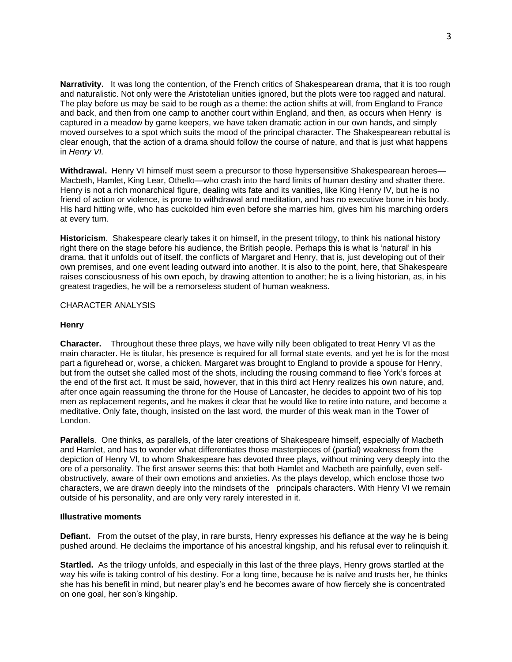**Narrativity.** It was long the contention, of the French critics of Shakespearean drama, that it is too rough and naturalistic. Not only were the Aristotelian unities ignored, but the plots were too ragged and natural. The play before us may be said to be rough as a theme: the action shifts at will, from England to France and back, and then from one camp to another court within England, and then, as occurs when Henry is captured in a meadow by game keepers, we have taken dramatic action in our own hands, and simply moved ourselves to a spot which suits the mood of the principal character. The Shakespearean rebuttal is clear enough, that the action of a drama should follow the course of nature, and that is just what happens in *Henry VI.*

Withdrawal. Henry VI himself must seem a precursor to those hypersensitive Shakespearean heroes— Macbeth, Hamlet, King Lear, Othello—who crash into the hard limits of human destiny and shatter there. Henry is not a rich monarchical figure, dealing wits fate and its vanities, like King Henry IV, but he is no friend of action or violence, is prone to withdrawal and meditation, and has no executive bone in his body. His hard hitting wife, who has cuckolded him even before she marries him, gives him his marching orders at every turn.

**Historicism**. Shakespeare clearly takes it on himself, in the present trilogy, to think his national history right there on the stage before his audience, the British people. Perhaps this is what is 'natural' in his drama, that it unfolds out of itself, the conflicts of Margaret and Henry, that is, just developing out of their own premises, and one event leading outward into another. It is also to the point, here, that Shakespeare raises consciousness of his own epoch, by drawing attention to another; he is a living historian, as, in his greatest tragedies, he will be a remorseless student of human weakness.

# CHARACTER ANALYSIS

### **Henry**

**Character.** Throughout these three plays, we have willy nilly been obligated to treat Henry VI as the main character. He is titular, his presence is required for all formal state events, and yet he is for the most part a figurehead or, worse, a chicken. Margaret was brought to England to provide a spouse for Henry, but from the outset she called most of the shots, including the rousing command to flee York's forces at the end of the first act. It must be said, however, that in this third act Henry realizes his own nature, and, after once again reassuming the throne for the House of Lancaster, he decides to appoint two of his top men as replacement regents, and he makes it clear that he would like to retire into nature, and become a meditative. Only fate, though, insisted on the last word, the murder of this weak man in the Tower of London.

**Parallels**. One thinks, as parallels, of the later creations of Shakespeare himself, especially of Macbeth and Hamlet, and has to wonder what differentiates those masterpieces of (partial) weakness from the depiction of Henry VI, to whom Shakespeare has devoted three plays, without mining very deeply into the ore of a personality. The first answer seems this: that both Hamlet and Macbeth are painfully, even selfobstructively, aware of their own emotions and anxieties. As the plays develop, which enclose those two characters, we are drawn deeply into the mindsets of the principals characters. With Henry VI we remain outside of his personality, and are only very rarely interested in it.

## **Illustrative moments**

**Defiant.** From the outset of the play, in rare bursts, Henry expresses his defiance at the way he is being pushed around. He declaims the importance of his ancestral kingship, and his refusal ever to relinquish it.

**Startled.** As the trilogy unfolds, and especially in this last of the three plays, Henry grows startled at the way his wife is taking control of his destiny. For a long time, because he is naïve and trusts her, he thinks she has his benefit in mind, but nearer play's end he becomes aware of how fiercely she is concentrated on one goal, her son's kingship.